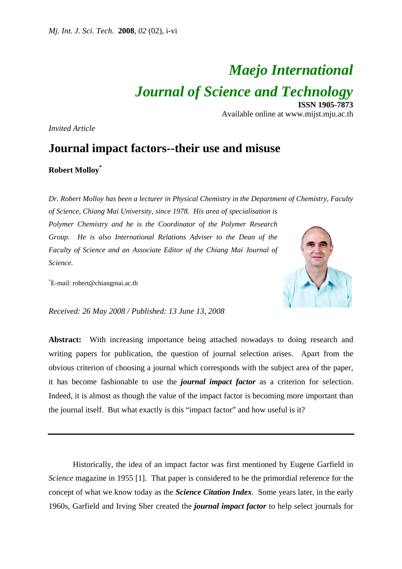# *Maejo International Journal of Science and Technology* **ISSN 1905-7873**

Available online at www.mijst.mju.ac.th

*Invited Article* 

# **Journal impact factors--their use and misuse**

## **Robert Molloy\***

*Dr. Robert Molloy has been a lecturer in Physical Chemistry in the Department of Chemistry, Faculty* 

*of Science, Chiang Mai University, since 1978. His area of specialisation is Polymer Chemistry and he is the Coordinator of the Polymer Research Group. He is also International Relations Adviser to the Dean of the Faculty of Science and an Associate Editor of the Chiang Mai Journal of Science.* 

\* E-mail: robert@chiangmai.ac.th



*Received: 26 May 2008 / Published: 13 June 13, 2008* 

**Abstract:** With increasing importance being attached nowadays to doing research and writing papers for publication, the question of journal selection arises. Apart from the obvious criterion of choosing a journal which corresponds with the subject area of the paper, it has become fashionable to use the *journal impact factor* as a criterion for selection. Indeed, it is almost as though the value of the impact factor is becoming more important than the journal itself. But what exactly is this "impact factor" and how useful is it?

 Historically, the idea of an impact factor was first mentioned by Eugene Garfield in *Science* magazine in 1955 [1]. That paper is considered to be the primordial reference for the concept of what we know today as the *Science Citation Index*. Some years later, in the early 1960s, Garfield and Irving Sher created the *journal impact factor* to help select journals for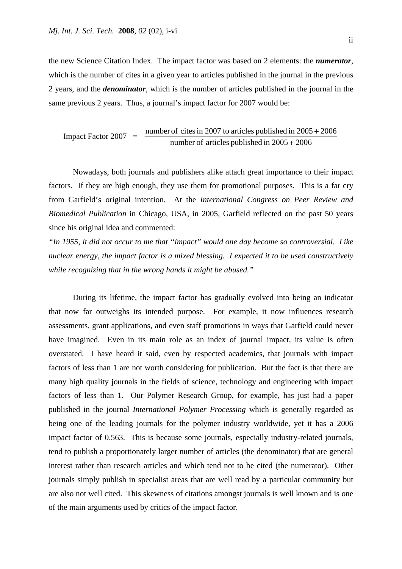the new Science Citation Index. The impact factor was based on 2 elements: the *numerator*, which is the number of cites in a given year to articles published in the journal in the previous 2 years, and the *denominator*, which is the number of articles published in the journal in the same previous 2 years. Thus, a journal's impact factor for 2007 would be:

$$
Image Factor 2007 = \frac{number\ of\ cites\ in\ 2007\ to\ articles\ published\ in\ 2005 + 2006}{number\ of\ articles\ published\ in\ 2005 + 2006}
$$

 Nowadays, both journals and publishers alike attach great importance to their impact factors. If they are high enough, they use them for promotional purposes. This is a far cry from Garfield's original intention. At the *International Congress on Peer Review and Biomedical Publication* in Chicago, USA, in 2005, Garfield reflected on the past 50 years since his original idea and commented:

*"In 1955, it did not occur to me that "impact" would one day become so controversial. Like nuclear energy, the impact factor is a mixed blessing. I expected it to be used constructively while recognizing that in the wrong hands it might be abused."* 

 During its lifetime, the impact factor has gradually evolved into being an indicator that now far outweighs its intended purpose. For example, it now influences research assessments, grant applications, and even staff promotions in ways that Garfield could never have imagined. Even in its main role as an index of journal impact, its value is often overstated. I have heard it said, even by respected academics, that journals with impact factors of less than 1 are not worth considering for publication. But the fact is that there are many high quality journals in the fields of science, technology and engineering with impact factors of less than 1. Our Polymer Research Group, for example, has just had a paper published in the journal *International Polymer Processing* which is generally regarded as being one of the leading journals for the polymer industry worldwide, yet it has a 2006 impact factor of 0.563. This is because some journals, especially industry-related journals, tend to publish a proportionately larger number of articles (the denominator) that are general interest rather than research articles and which tend not to be cited (the numerator). Other journals simply publish in specialist areas that are well read by a particular community but are also not well cited. This skewness of citations amongst journals is well known and is one of the main arguments used by critics of the impact factor.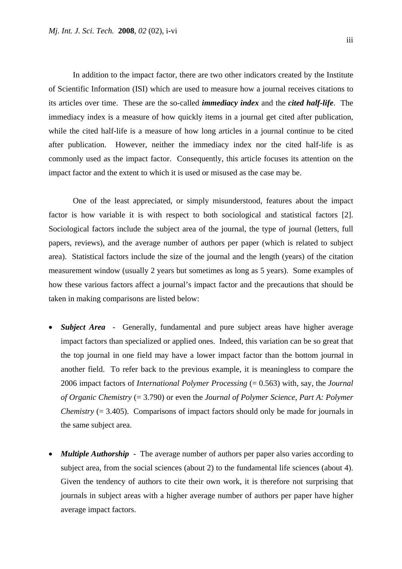In addition to the impact factor, there are two other indicators created by the Institute of Scientific Information (ISI) which are used to measure how a journal receives citations to its articles over time. These are the so-called *immediacy index* and the *cited half-life*. The immediacy index is a measure of how quickly items in a journal get cited after publication, while the cited half-life is a measure of how long articles in a journal continue to be cited after publication. However, neither the immediacy index nor the cited half-life is as commonly used as the impact factor. Consequently, this article focuses its attention on the impact factor and the extent to which it is used or misused as the case may be.

 One of the least appreciated, or simply misunderstood, features about the impact factor is how variable it is with respect to both sociological and statistical factors [2]. Sociological factors include the subject area of the journal, the type of journal (letters, full papers, reviews), and the average number of authors per paper (which is related to subject area). Statistical factors include the size of the journal and the length (years) of the citation measurement window (usually 2 years but sometimes as long as 5 years). Some examples of how these various factors affect a journal's impact factor and the precautions that should be taken in making comparisons are listed below:

- **Subject Area** Generally, fundamental and pure subject areas have higher average impact factors than specialized or applied ones. Indeed, this variation can be so great that the top journal in one field may have a lower impact factor than the bottom journal in another field. To refer back to the previous example, it is meaningless to compare the 2006 impact factors of *International Polymer Processing* (= 0.563) with, say, the *Journal of Organic Chemistry* (= 3.790) or even the *Journal of Polymer Science, Part A: Polymer Chemistry (= 3.405).* Comparisons of impact factors should only be made for journals in the same subject area.
- *Multiple Authorship* The average number of authors per paper also varies according to subject area, from the social sciences (about 2) to the fundamental life sciences (about 4). Given the tendency of authors to cite their own work, it is therefore not surprising that journals in subject areas with a higher average number of authors per paper have higher average impact factors.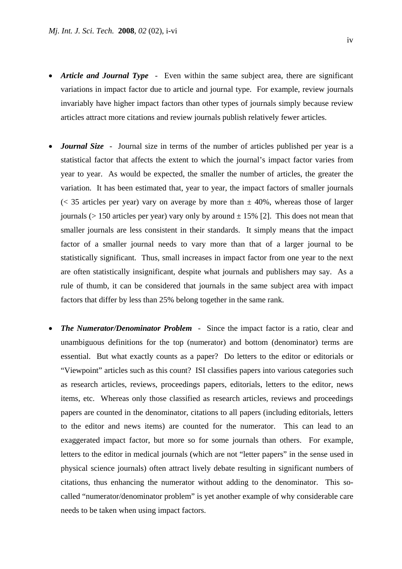- *Article and Journal Type*  Even within the same subject area, there are significant variations in impact factor due to article and journal type. For example, review journals invariably have higher impact factors than other types of journals simply because review articles attract more citations and review journals publish relatively fewer articles.
- *Journal Size*  Journal size in terms of the number of articles published per year is a statistical factor that affects the extent to which the journal's impact factor varies from year to year. As would be expected, the smaller the number of articles, the greater the variation. It has been estimated that, year to year, the impact factors of smaller journals ( $<$  35 articles per year) vary on average by more than  $\pm$  40%, whereas those of larger journals ( $> 150$  articles per year) vary only by around  $\pm 15\%$  [2]. This does not mean that smaller journals are less consistent in their standards. It simply means that the impact factor of a smaller journal needs to vary more than that of a larger journal to be statistically significant. Thus, small increases in impact factor from one year to the next are often statistically insignificant, despite what journals and publishers may say. As a rule of thumb, it can be considered that journals in the same subject area with impact factors that differ by less than 25% belong together in the same rank.
- **The Numerator/Denominator Problem** Since the impact factor is a ratio, clear and unambiguous definitions for the top (numerator) and bottom (denominator) terms are essential. But what exactly counts as a paper? Do letters to the editor or editorials or "Viewpoint" articles such as this count? ISI classifies papers into various categories such as research articles, reviews, proceedings papers, editorials, letters to the editor, news items, etc. Whereas only those classified as research articles, reviews and proceedings papers are counted in the denominator, citations to all papers (including editorials, letters to the editor and news items) are counted for the numerator. This can lead to an exaggerated impact factor, but more so for some journals than others. For example, letters to the editor in medical journals (which are not "letter papers" in the sense used in physical science journals) often attract lively debate resulting in significant numbers of citations, thus enhancing the numerator without adding to the denominator. This socalled "numerator/denominator problem" is yet another example of why considerable care needs to be taken when using impact factors.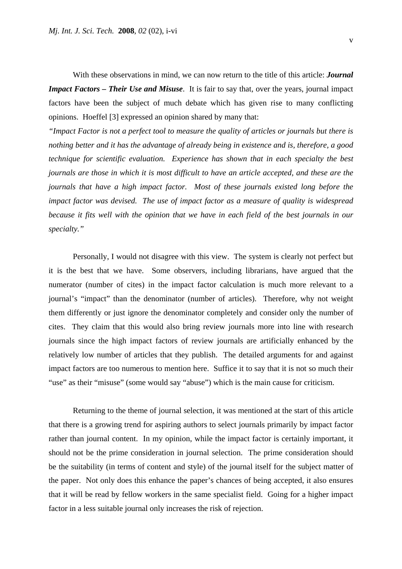With these observations in mind, we can now return to the title of this article: *Journal Impact Factors – Their Use and Misuse*. It is fair to say that, over the years, journal impact factors have been the subject of much debate which has given rise to many conflicting opinions. Hoeffel [3] expressed an opinion shared by many that:

*"Impact Factor is not a perfect tool to measure the quality of articles or journals but there is nothing better and it has the advantage of already being in existence and is, therefore, a good technique for scientific evaluation. Experience has shown that in each specialty the best journals are those in which it is most difficult to have an article accepted, and these are the journals that have a high impact factor. Most of these journals existed long before the impact factor was devised. The use of impact factor as a measure of quality is widespread because it fits well with the opinion that we have in each field of the best journals in our specialty."* 

 Personally, I would not disagree with this view. The system is clearly not perfect but it is the best that we have. Some observers, including librarians, have argued that the numerator (number of cites) in the impact factor calculation is much more relevant to a journal's "impact" than the denominator (number of articles). Therefore, why not weight them differently or just ignore the denominator completely and consider only the number of cites. They claim that this would also bring review journals more into line with research journals since the high impact factors of review journals are artificially enhanced by the relatively low number of articles that they publish. The detailed arguments for and against impact factors are too numerous to mention here. Suffice it to say that it is not so much their "use" as their "misuse" (some would say "abuse") which is the main cause for criticism.

 Returning to the theme of journal selection, it was mentioned at the start of this article that there is a growing trend for aspiring authors to select journals primarily by impact factor rather than journal content. In my opinion, while the impact factor is certainly important, it should not be the prime consideration in journal selection. The prime consideration should be the suitability (in terms of content and style) of the journal itself for the subject matter of the paper. Not only does this enhance the paper's chances of being accepted, it also ensures that it will be read by fellow workers in the same specialist field. Going for a higher impact factor in a less suitable journal only increases the risk of rejection.